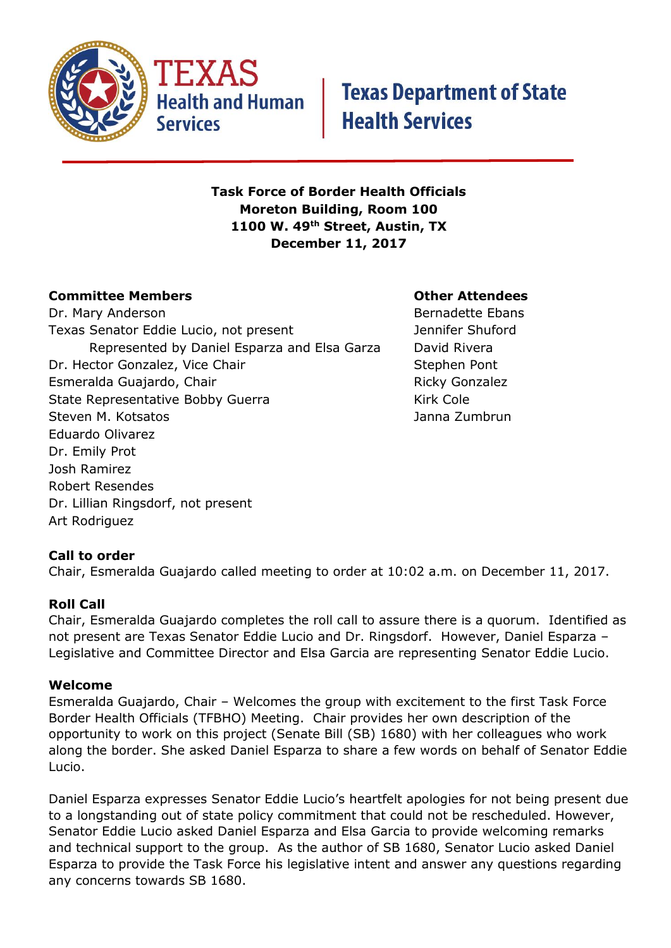

**Health and Human Services** 

## **Texas Department of State Health Services**

#### **Task Force of Border Health Officials Moreton Building, Room 100 1100 W. 49th Street, Austin, TX December 11, 2017**

#### **Committee Members Other Attendees**

Dr. Mary Anderson **Bernadette Ebans** Texas Senator Eddie Lucio, not present Texas Senator Eddie Lucio, not present Represented by Daniel Esparza and Elsa Garza David Rivera Dr. Hector Gonzalez, Vice Chair Stephen Pont Esmeralda Guajardo, Chair Ricky Gonzalez State Representative Bobby Guerra Kirk Cole Steven M. Kotsatos Janna Zumbrun Eduardo Olivarez Dr. Emily Prot Josh Ramirez Robert Resendes Dr. Lillian Ringsdorf, not present Art Rodriguez

### **Call to order**

Chair, Esmeralda Guajardo called meeting to order at 10:02 a.m. on December 11, 2017.

#### **Roll Call**

Chair, Esmeralda Guajardo completes the roll call to assure there is a quorum. Identified as not present are Texas Senator Eddie Lucio and Dr. Ringsdorf. However, Daniel Esparza – Legislative and Committee Director and Elsa Garcia are representing Senator Eddie Lucio.

#### **Welcome**

Esmeralda Guajardo, Chair – Welcomes the group with excitement to the first Task Force Border Health Officials (TFBHO) Meeting. Chair provides her own description of the opportunity to work on this project (Senate Bill (SB) 1680) with her colleagues who work along the border. She asked Daniel Esparza to share a few words on behalf of Senator Eddie Lucio.

Daniel Esparza expresses Senator Eddie Lucio's heartfelt apologies for not being present due to a longstanding out of state policy commitment that could not be rescheduled. However, Senator Eddie Lucio asked Daniel Esparza and Elsa Garcia to provide welcoming remarks and technical support to the group. As the author of SB 1680, Senator Lucio asked Daniel Esparza to provide the Task Force his legislative intent and answer any questions regarding any concerns towards SB 1680.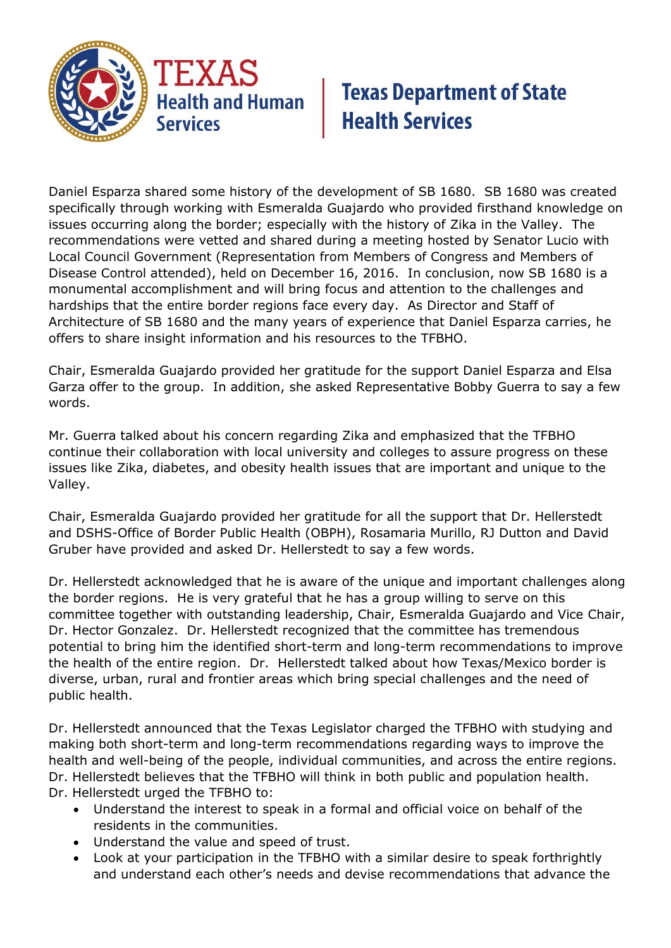

## **Texas Department of State Health Services**

Daniel Esparza shared some history of the development of SB 1680. SB 1680 was created specifically through working with Esmeralda Guajardo who provided firsthand knowledge on issues occurring along the border; especially with the history of Zika in the Valley. The recommendations were vetted and shared during a meeting hosted by Senator Lucio with Local Council Government (Representation from Members of Congress and Members of Disease Control attended), held on December 16, 2016. In conclusion, now SB 1680 is a monumental accomplishment and will bring focus and attention to the challenges and hardships that the entire border regions face every day. As Director and Staff of Architecture of SB 1680 and the many years of experience that Daniel Esparza carries, he offers to share insight information and his resources to the TFBHO.

Chair, Esmeralda Guajardo provided her gratitude for the support Daniel Esparza and Elsa Garza offer to the group. In addition, she asked Representative Bobby Guerra to say a few words.

Mr. Guerra talked about his concern regarding Zika and emphasized that the TFBHO continue their collaboration with local university and colleges to assure progress on these issues like Zika, diabetes, and obesity health issues that are important and unique to the Valley.

Chair, Esmeralda Guajardo provided her gratitude for all the support that Dr. Hellerstedt and DSHS-Office of Border Public Health (OBPH), Rosamaria Murillo, RJ Dutton and David Gruber have provided and asked Dr. Hellerstedt to say a few words.

Dr. Hellerstedt acknowledged that he is aware of the unique and important challenges along the border regions. He is very grateful that he has a group willing to serve on this committee together with outstanding leadership, Chair, Esmeralda Guajardo and Vice Chair, Dr. Hector Gonzalez. Dr. Hellerstedt recognized that the committee has tremendous potential to bring him the identified short-term and long-term recommendations to improve the health of the entire region. Dr. Hellerstedt talked about how Texas/Mexico border is diverse, urban, rural and frontier areas which bring special challenges and the need of public health.

Dr. Hellerstedt announced that the Texas Legislator charged the TFBHO with studying and making both short-term and long-term recommendations regarding ways to improve the health and well-being of the people, individual communities, and across the entire regions. Dr. Hellerstedt believes that the TFBHO will think in both public and population health. Dr. Hellerstedt urged the TFBHO to:

- Understand the interest to speak in a formal and official voice on behalf of the residents in the communities.
- Understand the value and speed of trust.
- Look at your participation in the TFBHO with a similar desire to speak forthrightly and understand each other's needs and devise recommendations that advance the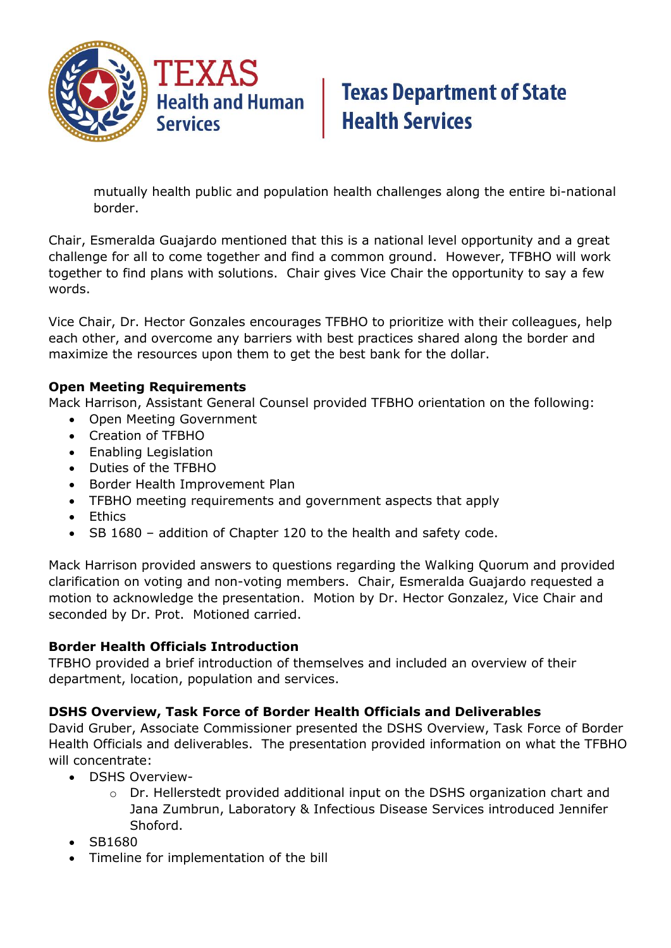

## **Texas Department of State Health Services**

mutually health public and population health challenges along the entire bi-national border.

Chair, Esmeralda Guajardo mentioned that this is a national level opportunity and a great challenge for all to come together and find a common ground. However, TFBHO will work together to find plans with solutions. Chair gives Vice Chair the opportunity to say a few words.

Vice Chair, Dr. Hector Gonzales encourages TFBHO to prioritize with their colleagues, help each other, and overcome any barriers with best practices shared along the border and maximize the resources upon them to get the best bank for the dollar.

#### **Open Meeting Requirements**

Mack Harrison, Assistant General Counsel provided TFBHO orientation on the following:

- Open Meeting Government
- Creation of TFBHO
- Enabling Legislation
- Duties of the TFBHO
- Border Health Improvement Plan
- TFBHO meeting requirements and government aspects that apply
- Ethics
- SB 1680 addition of Chapter 120 to the health and safety code.

Mack Harrison provided answers to questions regarding the Walking Quorum and provided clarification on voting and non-voting members. Chair, Esmeralda Guajardo requested a motion to acknowledge the presentation. Motion by Dr. Hector Gonzalez, Vice Chair and seconded by Dr. Prot. Motioned carried.

#### **Border Health Officials Introduction**

TFBHO provided a brief introduction of themselves and included an overview of their department, location, population and services.

#### **DSHS Overview, Task Force of Border Health Officials and Deliverables**

David Gruber, Associate Commissioner presented the DSHS Overview, Task Force of Border Health Officials and deliverables. The presentation provided information on what the TFBHO will concentrate:

- DSHS Overview
	- o Dr. Hellerstedt provided additional input on the DSHS organization chart and Jana Zumbrun, Laboratory & Infectious Disease Services introduced Jennifer Shoford.
- SB1680
- Timeline for implementation of the bill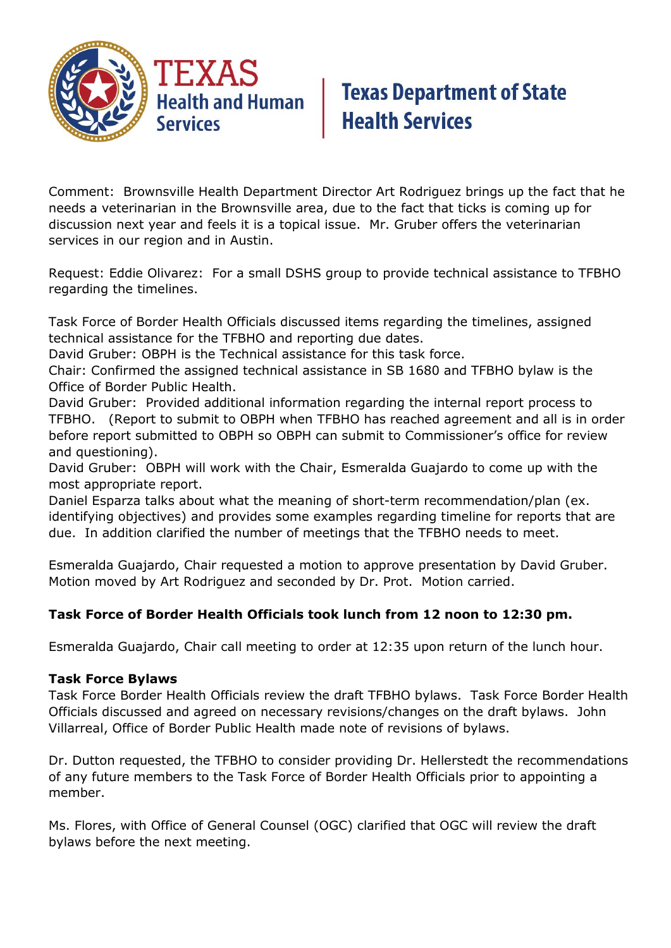

## **Texas Department of State<br>Health Services**

Comment: Brownsville Health Department Director Art Rodriguez brings up the fact that he needs a veterinarian in the Brownsville area, due to the fact that ticks is coming up for discussion next year and feels it is a topical issue. Mr. Gruber offers the veterinarian services in our region and in Austin.

Request: Eddie Olivarez: For a small DSHS group to provide technical assistance to TFBHO regarding the timelines.

Task Force of Border Health Officials discussed items regarding the timelines, assigned technical assistance for the TFBHO and reporting due dates.

David Gruber: OBPH is the Technical assistance for this task force.

Chair: Confirmed the assigned technical assistance in SB 1680 and TFBHO bylaw is the Office of Border Public Health.

David Gruber: Provided additional information regarding the internal report process to TFBHO. (Report to submit to OBPH when TFBHO has reached agreement and all is in order before report submitted to OBPH so OBPH can submit to Commissioner's office for review and questioning).

David Gruber: OBPH will work with the Chair, Esmeralda Guajardo to come up with the most appropriate report.

Daniel Esparza talks about what the meaning of short-term recommendation/plan (ex. identifying objectives) and provides some examples regarding timeline for reports that are due. In addition clarified the number of meetings that the TFBHO needs to meet.

Esmeralda Guajardo, Chair requested a motion to approve presentation by David Gruber. Motion moved by Art Rodriguez and seconded by Dr. Prot. Motion carried.

#### **Task Force of Border Health Officials took lunch from 12 noon to 12:30 pm.**

Esmeralda Guajardo, Chair call meeting to order at 12:35 upon return of the lunch hour.

#### **Task Force Bylaws**

Task Force Border Health Officials review the draft TFBHO bylaws. Task Force Border Health Officials discussed and agreed on necessary revisions/changes on the draft bylaws. John Villarreal, Office of Border Public Health made note of revisions of bylaws.

Dr. Dutton requested, the TFBHO to consider providing Dr. Hellerstedt the recommendations of any future members to the Task Force of Border Health Officials prior to appointing a member.

Ms. Flores, with Office of General Counsel (OGC) clarified that OGC will review the draft bylaws before the next meeting.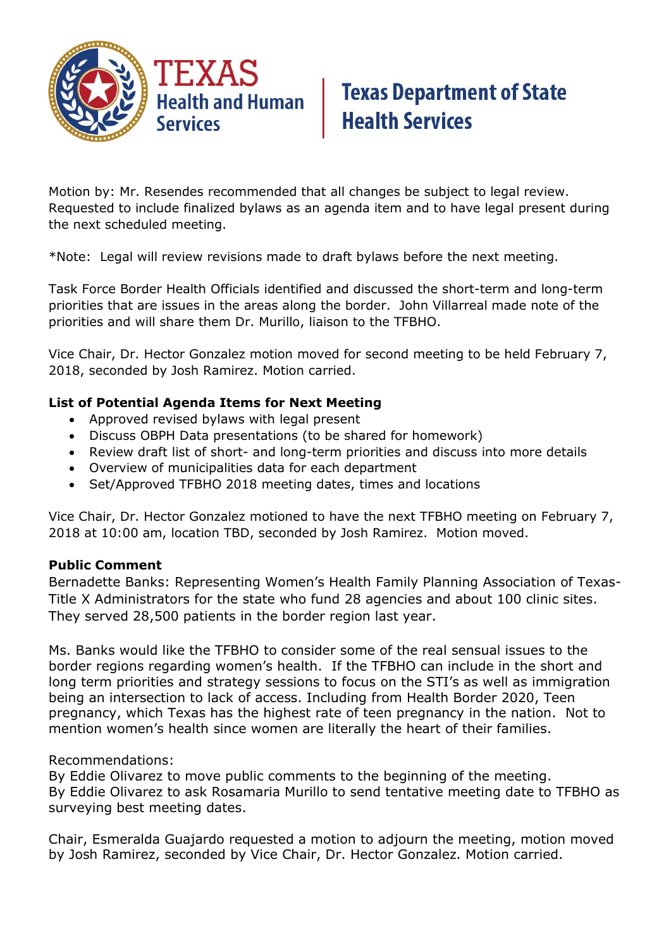

## **Texas Department of State Health Services**

Motion by: Mr. Resendes recommended that all changes be subject to legal review. Requested to include finalized bylaws as an agenda item and to have legal present during the next scheduled meeting.

\*Note: Legal will review revisions made to draft bylaws before the next meeting.

Task Force Border Health Officials identified and discussed the short-term and long-term priorities that are issues in the areas along the border. John Villarreal made note of the priorities and will share them Dr. Murillo, liaison to the TFBHO.

Vice Chair, Dr. Hector Gonzalez motion moved for second meeting to be held February 7, 2018, seconded by Josh Ramirez. Motion carried.

#### **List of Potential Agenda Items for Next Meeting**

- Approved revised bylaws with legal present
- Discuss OBPH Data presentations (to be shared for homework)
- Review draft list of short- and long-term priorities and discuss into more details
- Overview of municipalities data for each department
- Set/Approved TFBHO 2018 meeting dates, times and locations

Vice Chair, Dr. Hector Gonzalez motioned to have the next TFBHO meeting on February 7, 2018 at 10:00 am, location TBD, seconded by Josh Ramirez. Motion moved.

#### **Public Comment**

Bernadette Banks: Representing Women's Health Family Planning Association of Texas-Title X Administrators for the state who fund 28 agencies and about 100 clinic sites. They served 28,500 patients in the border region last year.

Ms. Banks would like the TFBHO to consider some of the real sensual issues to the border regions regarding women's health. If the TFBHO can include in the short and long term priorities and strategy sessions to focus on the STI's as well as immigration being an intersection to lack of access. Including from Health Border 2020, Teen pregnancy, which Texas has the highest rate of teen pregnancy in the nation. Not to mention women's health since women are literally the heart of their families.

#### Recommendations:

By Eddie Olivarez to move public comments to the beginning of the meeting. By Eddie Olivarez to ask Rosamaria Murillo to send tentative meeting date to TFBHO as surveying best meeting dates.

Chair, Esmeralda Guajardo requested a motion to adjourn the meeting, motion moved by Josh Ramirez, seconded by Vice Chair, Dr. Hector Gonzalez. Motion carried.